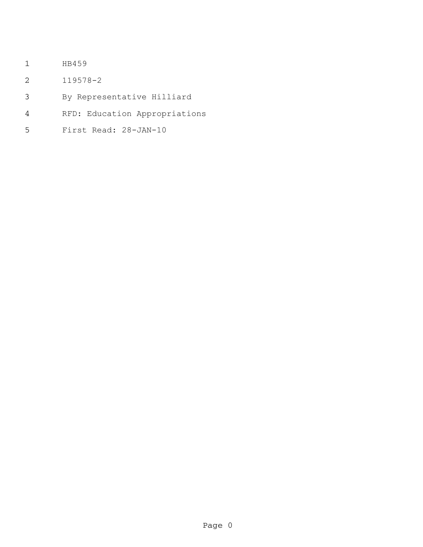- HB459
- 119578-2
- By Representative Hilliard
- RFD: Education Appropriations
- First Read: 28-JAN-10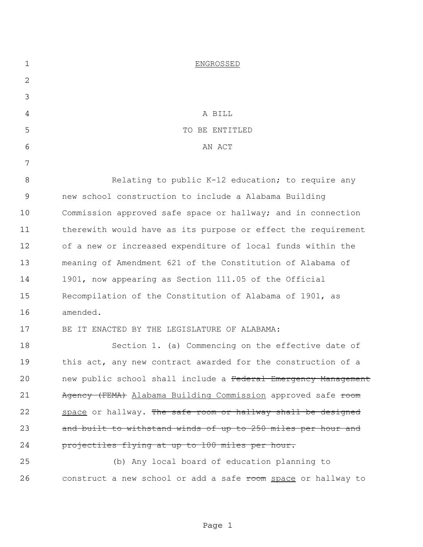| $\mathbf 1$ | <b>ENGROSSED</b>                                               |
|-------------|----------------------------------------------------------------|
| 2           |                                                                |
| 3           |                                                                |
| 4           | A BILL                                                         |
| 5           | TO BE ENTITLED                                                 |
| 6           | AN ACT                                                         |
| 7           |                                                                |
| 8           | Relating to public K-12 education; to require any              |
| $\mathsf 9$ | new school construction to include a Alabama Building          |
| 10          | Commission approved safe space or hallway; and in connection   |
| 11          | therewith would have as its purpose or effect the requirement  |
| 12          | of a new or increased expenditure of local funds within the    |
| 13          | meaning of Amendment 621 of the Constitution of Alabama of     |
| 14          | 1901, now appearing as Section 111.05 of the Official          |
| 15          | Recompilation of the Constitution of Alabama of 1901, as       |
| 16          | amended.                                                       |
| 17          | BE IT ENACTED BY THE LEGISLATURE OF ALABAMA:                   |
| 18          | Section 1. (a) Commencing on the effective date of             |
| 19          | this act, any new contract awarded for the construction of a   |
| 20          | new public school shall include a Federal Emergency Management |
| 21          | Agency (FEMA) Alabama Building Commission approved safe room   |
| 22          | space or hallway. The safe room or hallway shall be designed   |
| 23          | and built to withstand winds of up to 250 miles per hour and   |
| 24          | projectiles flying at up to 100 miles per hour.                |
| 25          | (b) Any local board of education planning to                   |
| 26          | construct a new school or add a safe room space or hallway to  |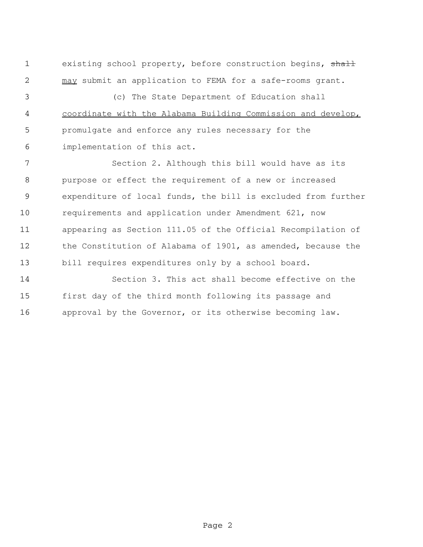1 existing school property, before construction begins, shall may submit an application to FEMA for a safe-rooms grant.

 (c) The State Department of Education shall coordinate with the Alabama Building Commission and develop, promulgate and enforce any rules necessary for the implementation of this act.

 Section 2. Although this bill would have as its purpose or effect the requirement of a new or increased expenditure of local funds, the bill is excluded from further requirements and application under Amendment 621, now appearing as Section 111.05 of the Official Recompilation of the Constitution of Alabama of 1901, as amended, because the bill requires expenditures only by a school board.

 Section 3. This act shall become effective on the first day of the third month following its passage and approval by the Governor, or its otherwise becoming law.